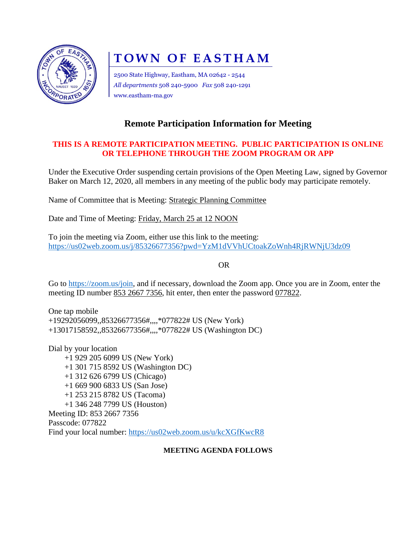

# **TOWN OF EASTHAM**

2500 State Highway, Eastham, MA 02642 - 2544 *All departments* 508 240-5900 *Fax* 508 240-1291 www.eastham-ma.gov

# **Remote Participation Information for Meeting**

## **THIS IS A REMOTE PARTICIPATION MEETING. PUBLIC PARTICIPATION IS ONLINE OR TELEPHONE THROUGH THE ZOOM PROGRAM OR APP**

Under the Executive Order suspending certain provisions of the Open Meeting Law, signed by Governor Baker on March 12, 2020, all members in any meeting of the public body may participate remotely.

Name of Committee that is Meeting: Strategic Planning Committee

Date and Time of Meeting: Friday, March 25 at 12 NOON

To join the meeting via Zoom, either use this link to the meeting: <https://us02web.zoom.us/j/85326677356?pwd=YzM1dVVhUCtoakZoWnh4RjRWNjU3dz09>

OR

Go to [https://zoom.us/join,](https://zoom.us/join) and if necessary, download the Zoom app. Once you are in Zoom, enter the meeting ID number 853 2667 7356, hit enter, then enter the password 077822.

One tap mobile +19292056099,,85326677356#,,,,\*077822# US (New York) +13017158592,,85326677356#,,,,\*077822# US (Washington DC)

Dial by your location +1 929 205 6099 US (New York) +1 301 715 8592 US (Washington DC) +1 312 626 6799 US (Chicago) +1 669 900 6833 US (San Jose) +1 253 215 8782 US (Tacoma) +1 346 248 7799 US (Houston) Meeting ID: 853 2667 7356 Passcode: 077822 Find your local number:<https://us02web.zoom.us/u/kcXGfKwcR8>

### **MEETING AGENDA FOLLOWS**